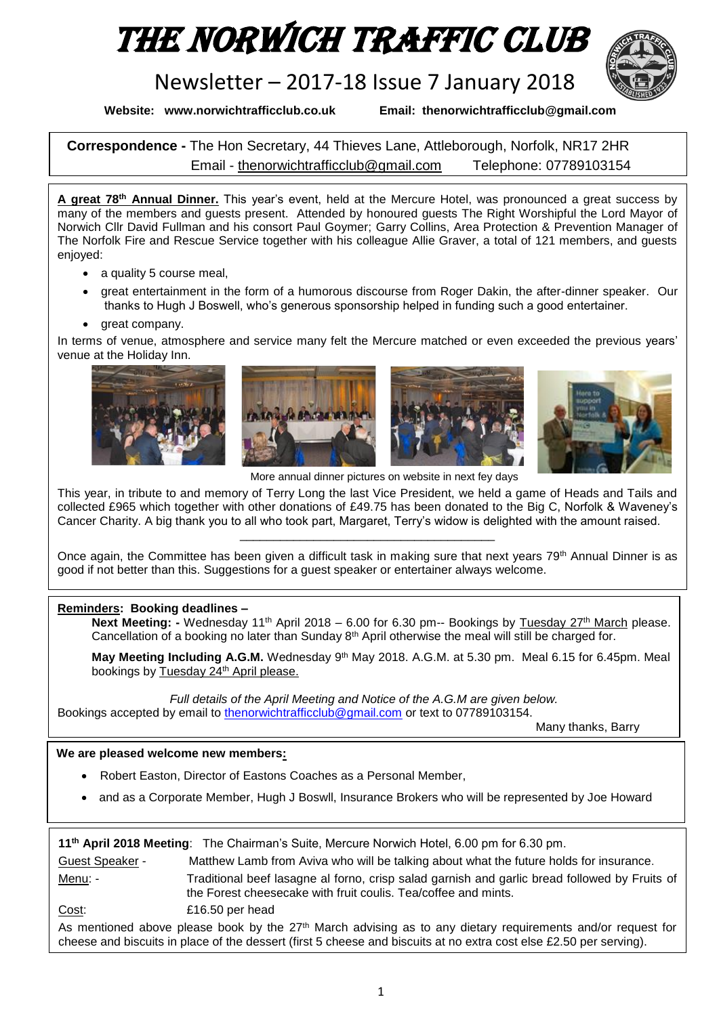# The Norwich Traffic Club

# Newsletter – 2017-18 Issue 7 January 2018



**Website: www.norwichtrafficclub.co.uk Email: thenorwichtrafficclub@gmail.com**

**Correspondence -** The Hon Secretary, 44 Thieves Lane, Attleborough, Norfolk, NR17 2HR Email - [thenorwichtrafficclub@gmail.com](mailto:thenorwichtrafficclub@gmail.com) Telephone: 07789103154

**A great 78th Annual Dinner.** This year's event, held at the Mercure Hotel, was pronounced a great success by many of the members and guests present. Attended by honoured guests The Right Worshipful the Lord Mayor of Norwich Cllr David Fullman and his consort Paul Goymer; Garry Collins, Area Protection & Prevention Manager of The Norfolk Fire and Rescue Service together with his colleague Allie Graver, a total of 121 members, and guests enjoyed:

- a quality 5 course meal,
- great entertainment in the form of a humorous discourse from Roger Dakin, the after-dinner speaker. Our thanks to Hugh J Boswell, who's generous sponsorship helped in funding such a good entertainer.
- great company.

In terms of venue, atmosphere and service many felt the Mercure matched or even exceeded the previous years' venue at the Holiday Inn.



More annual dinner pictures on website in next fey days

This year, in tribute to and memory of Terry Long the last Vice President, we held a game of Heads and Tails and collected £965 which together with other donations of £49.75 has been donated to the Big C, Norfolk & Waveney's Cancer Charity. A big thank you to all who took part, Margaret, Terry's widow is delighted with the amount raised.

Once again, the Committee has been given a difficult task in making sure that next years 79<sup>th</sup> Annual Dinner is as good if not better than this. Suggestions for a guest speaker or entertainer always welcome.

\_\_\_\_\_\_\_\_\_\_\_\_\_\_\_\_\_\_\_\_\_\_\_\_\_\_\_\_\_\_\_\_\_\_\_\_\_\_

### **Reminders: Booking deadlines –**

**Next Meeting: -** Wednesday 11<sup>th</sup> April 2018 – 6.00 for 6.30 pm-- Bookings by Tuesday 27<sup>th</sup> March please. Cancellation of a booking no later than Sunday 8<sup>th</sup> April otherwise the meal will still be charged for.

**May Meeting Including A.G.M.** Wednesday 9th May 2018. A.G.M. at 5.30 pm. Meal 6.15 for 6.45pm. Meal bookings by Tuesday 24<sup>th</sup> April please.

*Full details of the April Meeting and Notice of the A.G.M are given below.* Bookings accepted by email to [thenorwichtrafficclub@gmail.com](mailto:thenorwichtrafficclub@gmail.com) or text to 07789103154.

Many thanks, Barry

#### **We are pleased welcome new members:**

- Robert Easton, Director of Eastons Coaches as a Personal Member,
- and as a Corporate Member, Hugh J Boswll, Insurance Brokers who will be represented by Joe Howard

| 11 <sup>th</sup> April 2018 Meeting: The Chairman's Suite, Mercure Norwich Hotel, 6.00 pm for 6.30 pm. |                                                                                                                                                                                                                                     |  |  |
|--------------------------------------------------------------------------------------------------------|-------------------------------------------------------------------------------------------------------------------------------------------------------------------------------------------------------------------------------------|--|--|
| Guest Speaker -                                                                                        | Matthew Lamb from Aviva who will be talking about what the future holds for insurance.                                                                                                                                              |  |  |
| Menu: -                                                                                                | Traditional beef lasagne al forno, crisp salad garnish and garlic bread followed by Fruits of<br>the Forest cheesecake with fruit coulis. Tea/coffee and mints.                                                                     |  |  |
| Cost:                                                                                                  | £16.50 per head                                                                                                                                                                                                                     |  |  |
|                                                                                                        | As mentioned above please book by the $27th$ March advising as to any dietary requirements and/or request for<br>cheese and biscuits in place of the dessert (first 5 cheese and biscuits at no extra cost else £2.50 per serving). |  |  |